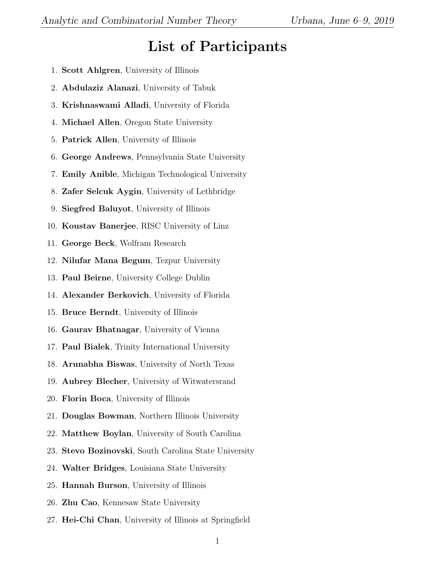## List of Participants

- 1. Scott Ahlgren, University of Illinois
- 2. Abdulaziz Alanazi, University of Tabuk
- 3. Krishnaswami Alladi, University of Florida
- 4. Michael Allen, Oregon State University
- 5. Patrick Allen, University of Illinois
- 6. George Andrews, Pennsylvania State University
- 7. Emily Anible, Michigan Technological University
- 8. Zafer Selcuk Aygin, University of Lethbridge
- 9. Siegfred Baluyot, University of Illinois
- 10. Koustav Banerjee, RISC University of Linz
- 11. George Beck, Wolfram Research
- 12. Nilufar Mana Begum, Tezpur University
- 13. Paul Beirne, University College Dublin
- 14. Alexander Berkovich, University of Florida
- 15. Bruce Berndt, University of Illinois
- 16. Gaurav Bhatnagar, University of Vienna
- 17. Paul Bialek, Trinity International University
- 18. Arunabha Biswas, University of North Texas
- 19. Aubrey Blecher, University of Witwatersrand
- 20. Florin Boca, University of Illinois
- 21. Douglas Bowman, Northern Illinois University
- 22. Matthew Boylan, University of South Carolina
- 23. Stevo Bozinovski, South Carolina State University
- 24. Walter Bridges, Louisiana State University
- 25. Hannah Burson, University of Illinois
- 26. Zhu Cao, Kennesaw State University
- 27. Hei-Chi Chan, University of Illinois at Springfield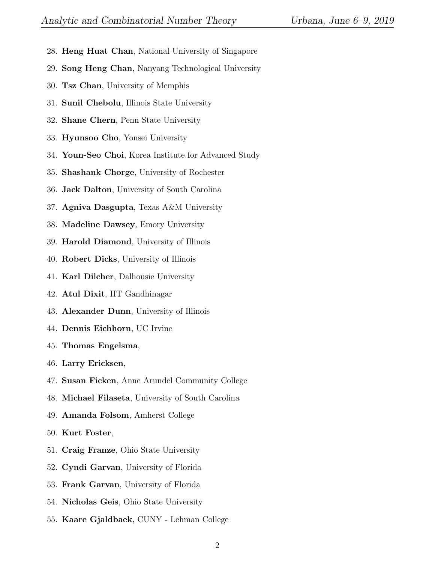- 28. Heng Huat Chan, National University of Singapore
- 29. Song Heng Chan, Nanyang Technological University
- 30. Tsz Chan, University of Memphis
- 31. Sunil Chebolu, Illinois State University
- 32. Shane Chern, Penn State University
- 33. Hyunsoo Cho, Yonsei University
- 34. Youn-Seo Choi, Korea Institute for Advanced Study
- 35. Shashank Chorge, University of Rochester
- 36. Jack Dalton, University of South Carolina
- 37. Agniva Dasgupta, Texas A&M University
- 38. Madeline Dawsey, Emory University
- 39. Harold Diamond, University of Illinois
- 40. Robert Dicks, University of Illinois
- 41. Karl Dilcher, Dalhousie University
- 42. Atul Dixit, IIT Gandhinagar
- 43. Alexander Dunn, University of Illinois
- 44. Dennis Eichhorn, UC Irvine
- 45. Thomas Engelsma,
- 46. Larry Ericksen,
- 47. Susan Ficken, Anne Arundel Community College
- 48. Michael Filaseta, University of South Carolina
- 49. Amanda Folsom, Amherst College
- 50. Kurt Foster,
- 51. Craig Franze, Ohio State University
- 52. Cyndi Garvan, University of Florida
- 53. Frank Garvan, University of Florida
- 54. Nicholas Geis, Ohio State University
- 55. Kaare Gjaldbaek, CUNY Lehman College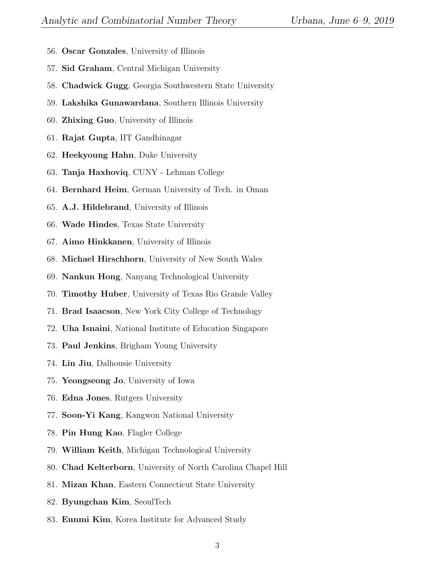- 56. Oscar Gonzales, University of Illinois
- 57. Sid Graham, Central Michigan University
- 58. Chadwick Gugg, Georgia Southwestern State University
- 59. Lakshika Gunawardana, Southern Illinois University
- 60. Zhixing Guo, University of Illinois
- 61. Rajat Gupta, IIT Gandhinagar
- 62. Heekyoung Hahn, Duke University
- 63. Tanja Haxhoviq, CUNY Lehman College
- 64. Bernhard Heim, German University of Tech. in Oman
- 65. A.J. Hildebrand, University of Illinois
- 66. Wade Hindes, Texas State University
- 67. Aimo Hinkkanen, University of Illinois
- 68. Michael Hirschhorn, University of New South Wales
- 69. Nankun Hong, Nanyang Technological University
- 70. Timothy Huber, University of Texas Rio Grande Valley
- 71. Brad Isaacson, New York City College of Technology
- 72. Uha Isnaini, National Institute of Education Singapore
- 73. Paul Jenkins, Brigham Young University
- 74. Lin Jiu, Dalhousie University
- 75. Yeongseong Jo, University of Iowa
- 76. Edna Jones, Rutgers University
- 77. Soon-Yi Kang, Kangwon National University
- 78. Pin Hung Kao, Flagler College
- 79. William Keith, Michigan Technological University
- 80. Chad Kelterborn, University of North Carolina Chapel Hill
- 81. Mizan Khan, Eastern Connecticut State University
- 82. Byungchan Kim, SeoulTech
- 83. Eunmi Kim, Korea Institute for Advanced Study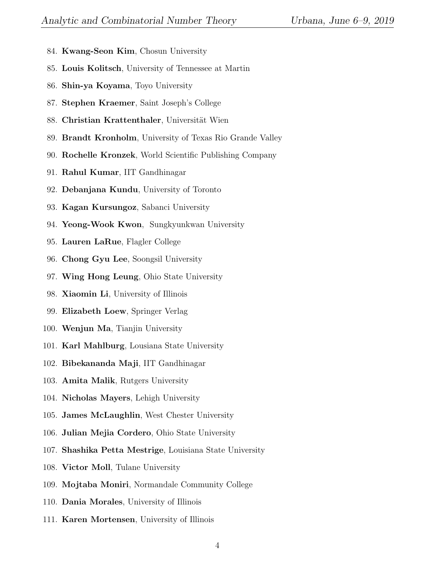- 84. Kwang-Seon Kim, Chosun University
- 85. Louis Kolitsch, University of Tennessee at Martin
- 86. Shin-ya Koyama, Toyo University
- 87. Stephen Kraemer, Saint Joseph's College
- 88. Christian Krattenthaler, Universität Wien
- 89. Brandt Kronholm, University of Texas Rio Grande Valley
- 90. Rochelle Kronzek, World Scientific Publishing Company
- 91. Rahul Kumar, IIT Gandhinagar
- 92. Debanjana Kundu, University of Toronto
- 93. Kagan Kursungoz, Sabanci University
- 94. Yeong-Wook Kwon, Sungkyunkwan University
- 95. Lauren LaRue, Flagler College
- 96. Chong Gyu Lee, Soongsil University
- 97. Wing Hong Leung, Ohio State University
- 98. Xiaomin Li, University of Illinois
- 99. Elizabeth Loew, Springer Verlag
- 100. Wenjun Ma, Tianjin University
- 101. Karl Mahlburg, Lousiana State University
- 102. Bibekananda Maji, IIT Gandhinagar
- 103. Amita Malik, Rutgers University
- 104. Nicholas Mayers, Lehigh University
- 105. James McLaughlin, West Chester University
- 106. Julian Mejia Cordero, Ohio State University
- 107. Shashika Petta Mestrige, Louisiana State University
- 108. Victor Moll, Tulane University
- 109. Mojtaba Moniri, Normandale Community College
- 110. Dania Morales, University of Illinois
- 111. Karen Mortensen, University of Illinois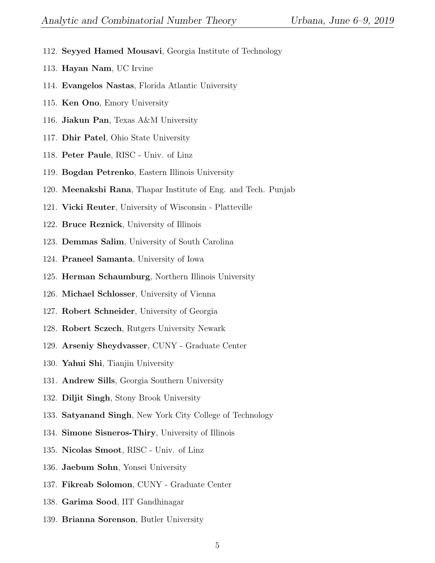- 112. Seyyed Hamed Mousavi, Georgia Institute of Technology
- 113. Hayan Nam, UC Irvine
- 114. Evangelos Nastas, Florida Atlantic University
- 115. Ken Ono, Emory University
- 116. Jiakun Pan, Texas A&M University
- 117. Dhir Patel, Ohio State University
- 118. Peter Paule, RISC Univ. of Linz
- 119. Bogdan Petrenko, Eastern Illinois University
- 120. Meenakshi Rana, Thapar Institute of Eng. and Tech. Punjab
- 121. Vicki Reuter, University of Wisconsin Platteville
- 122. Bruce Reznick, University of Illinois
- 123. Demmas Salim, University of South Carolina
- 124. Praneel Samanta, University of Iowa
- 125. Herman Schaumburg, Northern Illinois University
- 126. Michael Schlosser, University of Vienna
- 127. Robert Schneider, University of Georgia
- 128. Robert Sczech, Rutgers University Newark
- 129. Arseniy Sheydvasser, CUNY Graduate Center
- 130. Yahui Shi, Tianjin University
- 131. Andrew Sills, Georgia Southern University
- 132. Diljit Singh, Stony Brook University
- 133. Satyanand Singh, New York City College of Technology
- 134. Simone Sisneros-Thiry, University of Illinois
- 135. Nicolas Smoot, RISC Univ. of Linz
- 136. Jaebum Sohn, Yonsei University
- 137. Fikreab Solomon, CUNY Graduate Center
- 138. Garima Sood, IIT Gandhinagar
- 139. Brianna Sorenson, Butler University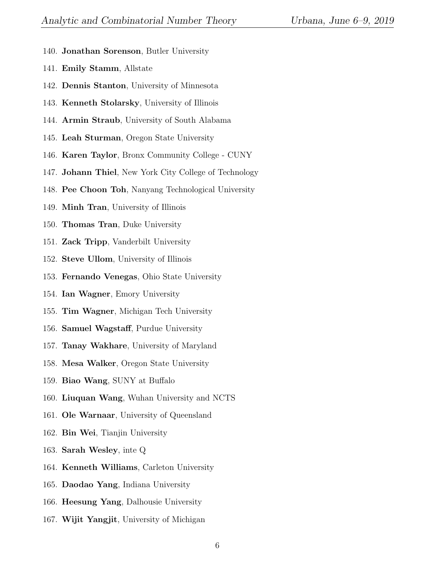- 140. Jonathan Sorenson, Butler University
- 141. Emily Stamm, Allstate
- 142. Dennis Stanton, University of Minnesota
- 143. Kenneth Stolarsky, University of Illinois
- 144. Armin Straub, University of South Alabama
- 145. Leah Sturman, Oregon State University
- 146. Karen Taylor, Bronx Community College CUNY
- 147. Johann Thiel, New York City College of Technology
- 148. Pee Choon Toh, Nanyang Technological University
- 149. Minh Tran, University of Illinois
- 150. Thomas Tran, Duke University
- 151. Zack Tripp, Vanderbilt University
- 152. Steve Ullom, University of Illinois
- 153. Fernando Venegas, Ohio State University
- 154. Ian Wagner, Emory University
- 155. Tim Wagner, Michigan Tech University
- 156. Samuel Wagstaff, Purdue University
- 157. Tanay Wakhare, University of Maryland
- 158. Mesa Walker, Oregon State University
- 159. Biao Wang, SUNY at Buffalo
- 160. Liuquan Wang, Wuhan University and NCTS
- 161. Ole Warnaar, University of Queensland
- 162. Bin Wei, Tianjin University
- 163. Sarah Wesley, inte Q
- 164. Kenneth Williams, Carleton University
- 165. Daodao Yang, Indiana University
- 166. Heesung Yang, Dalhousie University
- 167. Wijit Yangjit, University of Michigan